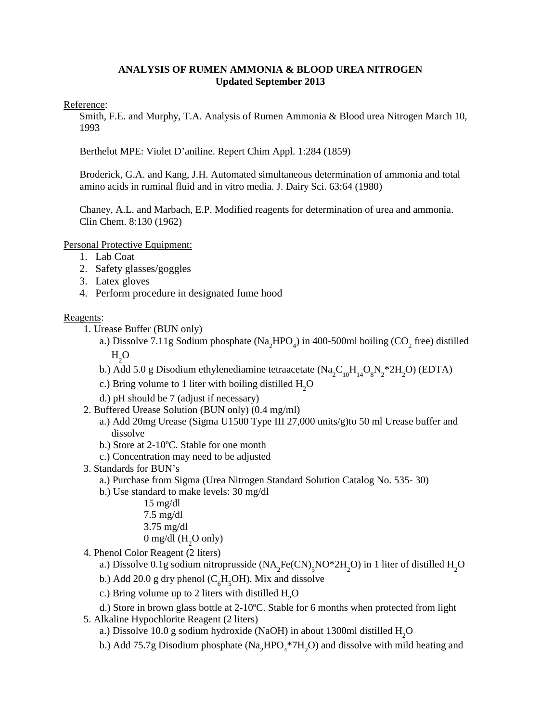# **ANALYSIS OF RUMEN AMMONIA & BLOOD UREA NITROGEN Updated September 2013**

### Reference:

Smith, F.E. and Murphy, T.A. Analysis of Rumen Ammonia & Blood urea Nitrogen March 10, 1993

Berthelot MPE: Violet D'aniline. Repert Chim Appl. 1:284 (1859)

Broderick, G.A. and Kang, J.H. Automated simultaneous determination of ammonia and total amino acids in ruminal fluid and in vitro media. J. Dairy Sci. 63:64 (1980)

Chaney, A.L. and Marbach, E.P. Modified reagents for determination of urea and ammonia. Clin Chem. 8:130 (1962)

Personal Protective Equipment:

- 1. Lab Coat
- 2. Safety glasses/goggles
- 3. Latex gloves
- 4. Perform procedure in designated fume hood

#### Reagents:

- 1. Urease Buffer (BUN only)
	- a.) Dissolve 7.11g Sodium phosphate ( $\text{Na}_2\text{HPO}_4$ ) in 400-500ml boiling (CO<sub>2</sub> free) distilled  $_{\rm H_2O}$
	- b.) Add 5.0 g Disodium ethylenediamine tetraacetate ( $\text{Na}_2\text{C}_{10}\text{H}_{14}\text{O}_8\text{N}_2^*2\text{H}_2\text{O}$ ) (EDTA)
	- c.) Bring volume to 1 liter with boiling distilled  $H_2O$
	- d.) pH should be 7 (adjust if necessary)
- 2. Buffered Urease Solution (BUN only) (0.4 mg/ml)
	- a.) Add 20mg Urease (Sigma U1500 Type III 27,000 units/g)to 50 ml Urease buffer and dissolve
	- b.) Store at 2-10ºC. Stable for one month
	- c.) Concentration may need to be adjusted
- 3. Standards for BUN's
	- a.) Purchase from Sigma (Urea Nitrogen Standard Solution Catalog No. 535- 30)
	- b.) Use standard to make levels: 30 mg/dl
		- 15 mg/dl
		- 7.5 mg/dl
		- 3.75 mg/dl
		- 0 mg/dl ( $H_2$ O only)
- 4. Phenol Color Reagent (2 liters)

a.) Dissolve 0.1g sodium nitroprusside 
$$
(NA_2Fe(CN)_5NO^*2H_2O)
$$
 in 1 liter of distilled  $H_2O$ 

- b.) Add 20.0 g dry phenol  $(C_6H_5OH)$ . Mix and dissolve
- c.) Bring volume up to 2 liters with distilled  $H_2O$
- d.) Store in brown glass bottle at 2-10ºC. Stable for 6 months when protected from light
- 5. Alkaline Hypochlorite Reagent (2 liters)
	- a.) Dissolve 10.0 g sodium hydroxide (NaOH) in about 1300ml distilled  $\rm H_2O$
	- b.) Add 75.7g Disodium phosphate ( $Na<sub>2</sub>HPO<sub>4</sub><sup>*</sup>7H<sub>2</sub>O$ ) and dissolve with mild heating and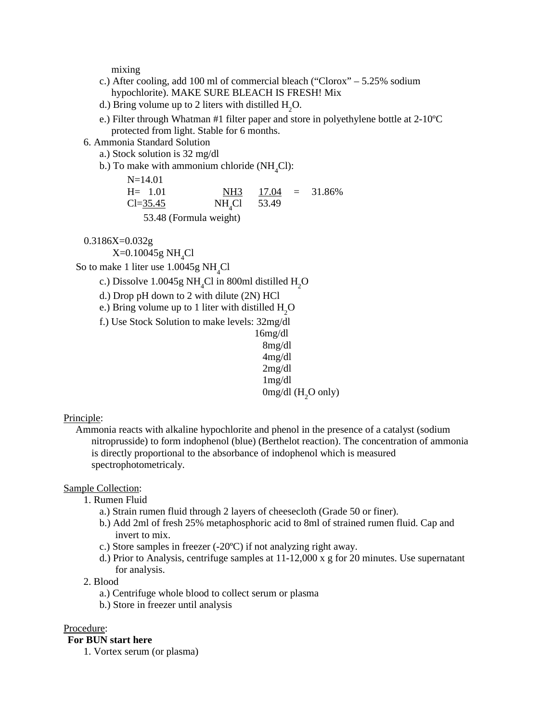mixing

- c.) After cooling, add 100 ml of commercial bleach ("Clorox" 5.25% sodium hypochlorite). MAKE SURE BLEACH IS FRESH! Mix
- d.) Bring volume up to 2 liters with distilled  $H_2O$ .
- e.) Filter through Whatman #1 filter paper and store in polyethylene bottle at 2-10ºC protected from light. Stable for 6 months.
- 6. Ammonia Standard Solution

N=14.01

- a.) Stock solution is 32 mg/dl
- b.) To make with ammonium chloride  $(NH_4Cl)$ :

| $N = 14.01$  |                  |  |                       |
|--------------|------------------|--|-----------------------|
| $H = 1.01$   |                  |  | NH3 $17.04 = 31.86\%$ |
| $Cl = 35.45$ | $NH_{4}Cl$ 53.49 |  |                       |

53.48 (Formula weight)

0.3186X=0.032g

 $\rm X\!\!=\!\!0.10045g~\rm NH_{_4}Cl$ 

So to make 1 liter use  $1.0045g \mathrm{NH}_{4}Cl$ 

- c.) Dissolve  $1.0045$ g NH<sub>4</sub>Cl in 800ml distilled H<sub>2</sub>O
- d.) Drop pH down to 2 with dilute (2N) HCl
- e.) Bring volume up to 1 liter with distilled  $H_2O$
- f.) Use Stock Solution to make levels: 32mg/dl
- 16mg/dl 8mg/dl 4mg/dl 2mg/dl 1mg/dl  $0$ mg/dl (H<sub>2</sub>O only)

#### Principle:

Ammonia reacts with alkaline hypochlorite and phenol in the presence of a catalyst (sodium nitroprusside) to form indophenol (blue) (Berthelot reaction). The concentration of ammonia is directly proportional to the absorbance of indophenol which is measured spectrophotometricaly.

#### Sample Collection:

- 1. Rumen Fluid
	- a.) Strain rumen fluid through 2 layers of cheesecloth (Grade 50 or finer).
	- b.) Add 2ml of fresh 25% metaphosphoric acid to 8ml of strained rumen fluid. Cap and invert to mix.
	- c.) Store samples in freezer (-20ºC) if not analyzing right away.
	- d.) Prior to Analysis, centrifuge samples at 11-12,000 x g for 20 minutes. Use supernatant for analysis.
- 2. Blood
	- a.) Centrifuge whole blood to collect serum or plasma
	- b.) Store in freezer until analysis

#### Procedure:

#### **For BUN start here**

1. Vortex serum (or plasma)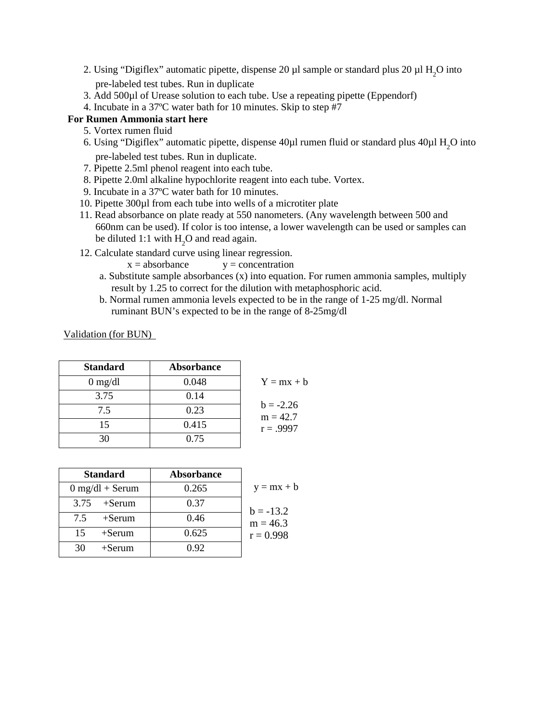- 2. Using "Digiflex" automatic pipette, dispense 20  $\mu$ l sample or standard plus 20  $\mu$ l H<sub>2</sub>O into pre-labeled test tubes. Run in duplicate
- 3. Add 500µl of Urease solution to each tube. Use a repeating pipette (Eppendorf)
- 4. Incubate in a 37ºC water bath for 10 minutes. Skip to step #7

# **For Rumen Ammonia start here**

- 5. Vortex rumen fluid
- 6. Using "Digiflex" automatic pipette, dispense  $40\mu$ l rumen fluid or standard plus  $40\mu$ l  $H_2O$  into pre-labeled test tubes. Run in duplicate.
- 7. Pipette 2.5ml phenol reagent into each tube.
- 8. Pipette 2.0ml alkaline hypochlorite reagent into each tube. Vortex.
- 9. Incubate in a 37ºC water bath for 10 minutes.
- 10. Pipette 300µl from each tube into wells of a microtiter plate
- 11. Read absorbance on plate ready at 550 nanometers. (Any wavelength between 500 and 660nm can be used). If color is too intense, a lower wavelength can be used or samples can be diluted 1:1 with  $H_2O$  and read again.
- 12. Calculate standard curve using linear regression.
	- $x = absorbance$   $y = concentration$
	- a. Substitute sample absorbances (x) into equation. For rumen ammonia samples, multiply result by 1.25 to correct for the dilution with metaphosphoric acid.
	- b. Normal rumen ammonia levels expected to be in the range of 1-25 mg/dl. Normal ruminant BUN's expected to be in the range of 8-25mg/dl

Validation (for BUN)

| <b>Standard</b>                 | <b>Absorbance</b> |                           |
|---------------------------------|-------------------|---------------------------|
| $0 \frac{\text{mg}}{\text{dl}}$ | 0.048             | $Y = mx + b$              |
| 3.75                            | 0.14              |                           |
| 7.5                             | 0.23              | $b = -2.26$<br>$m = 42.7$ |
| 15                              | 0.415             | $r = .9997$               |
| 30                              | 0.75              |                           |

| <b>Standard</b>   | <b>Absorbance</b> |              |
|-------------------|-------------------|--------------|
| $0$ mg/dl + Serum | 0.265             | $y = mx + b$ |
| $3.75$ +Serum     | 0.37              | $b = -13.2$  |
| 75<br>$+$ Serum   | 0.46              | $m = 46.3$   |
| 15<br>$+$ Serum   | 0.625             | $r = 0.998$  |
| 30<br>$+$ Serum   | 0.92              |              |